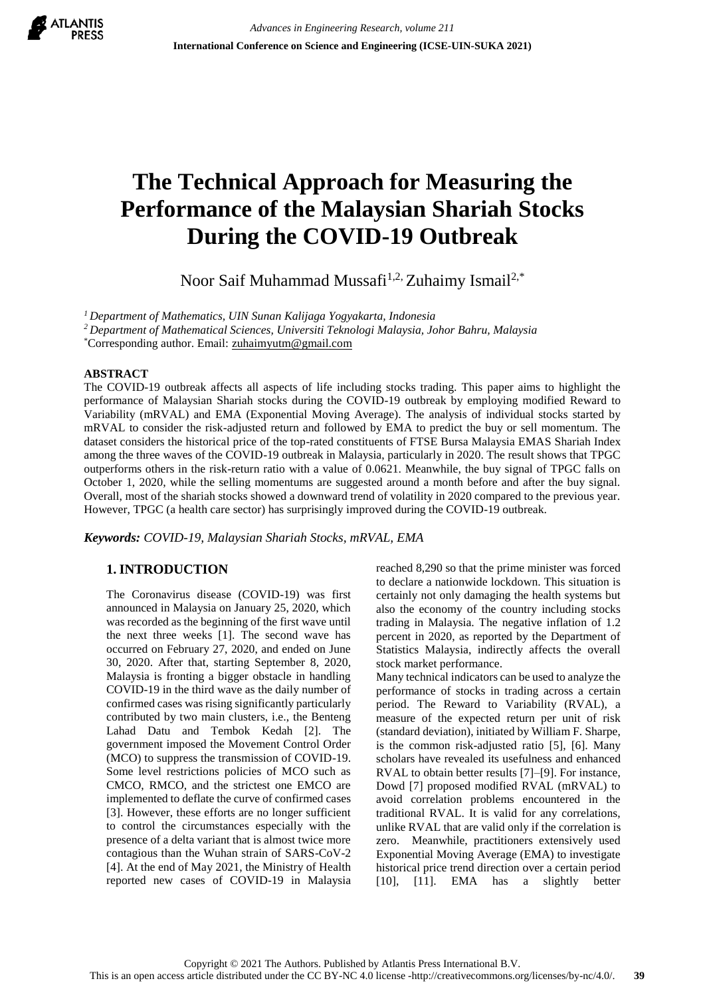

# **The Technical Approach for Measuring the Performance of the Malaysian Shariah Stocks During the COVID-19 Outbreak**

Noor Saif Muhammad Mussafi<sup>1,2,</sup> Zuhaimy Ismail<sup>2,\*</sup>

*<sup>1</sup>Department of Mathematics, UIN Sunan Kalijaga Yogyakarta, Indonesia*

*<sup>2</sup>Department of Mathematical Sciences, Universiti Teknologi Malaysia, Johor Bahru, Malaysia*

\*Corresponding author. Email: [zuhaimyutm@gmail.com](mailto:zuhaimyutm@gmail.com)

#### **ABSTRACT**

The COVID-19 outbreak affects all aspects of life including stocks trading. This paper aims to highlight the performance of Malaysian Shariah stocks during the COVID-19 outbreak by employing modified Reward to Variability (mRVAL) and EMA (Exponential Moving Average). The analysis of individual stocks started by mRVAL to consider the risk-adjusted return and followed by EMA to predict the buy or sell momentum. The dataset considers the historical price of the top-rated constituents of FTSE Bursa Malaysia EMAS Shariah Index among the three waves of the COVID-19 outbreak in Malaysia, particularly in 2020. The result shows that TPGC outperforms others in the risk-return ratio with a value of 0.0621. Meanwhile, the buy signal of TPGC falls on October 1, 2020, while the selling momentums are suggested around a month before and after the buy signal. Overall, most of the shariah stocks showed a downward trend of volatility in 2020 compared to the previous year. However, TPGC (a health care sector) has surprisingly improved during the COVID-19 outbreak.

*Keywords: COVID-19, Malaysian Shariah Stocks, mRVAL, EMA*

# **1. INTRODUCTION**

The Coronavirus disease (COVID-19) was first announced in Malaysia on January 25, 2020, which was recorded as the beginning of the first wave until the next three weeks [1]. The second wave has occurred on February 27, 2020, and ended on June 30, 2020. After that, starting September 8, 2020, Malaysia is fronting a bigger obstacle in handling COVID-19 in the third wave as the daily number of confirmed cases was rising significantly particularly contributed by two main clusters, i.e., the Benteng Lahad Datu and Tembok Kedah [2]. The government imposed the Movement Control Order (MCO) to suppress the transmission of COVID-19. Some level restrictions policies of MCO such as CMCO, RMCO, and the strictest one EMCO are implemented to deflate the curve of confirmed cases [3]. However, these efforts are no longer sufficient to control the circumstances especially with the presence of a delta variant that is almost twice more contagious than the Wuhan strain of SARS-CoV-2 [4]. At the end of May 2021, the Ministry of Health reported new cases of COVID-19 in Malaysia reached 8,290 so that the prime minister was forced to declare a nationwide lockdown. This situation is certainly not only damaging the health systems but also the economy of the country including stocks trading in Malaysia. The negative inflation of 1.2 percent in 2020, as reported by the Department of Statistics Malaysia, indirectly affects the overall stock market performance.

Many technical indicators can be used to analyze the performance of stocks in trading across a certain period. The Reward to Variability (RVAL), a measure of the expected return per unit of risk (standard deviation), initiated by William F. Sharpe, is the common risk-adjusted ratio [5], [6]. Many scholars have revealed its usefulness and enhanced RVAL to obtain better results [7]–[9]. For instance, Dowd [7] proposed modified RVAL (mRVAL) to avoid correlation problems encountered in the traditional RVAL. It is valid for any correlations, unlike RVAL that are valid only if the correlation is zero. Meanwhile, practitioners extensively used Exponential Moving Average (EMA) to investigate historical price trend direction over a certain period [10], [11]. EMA has a slightly better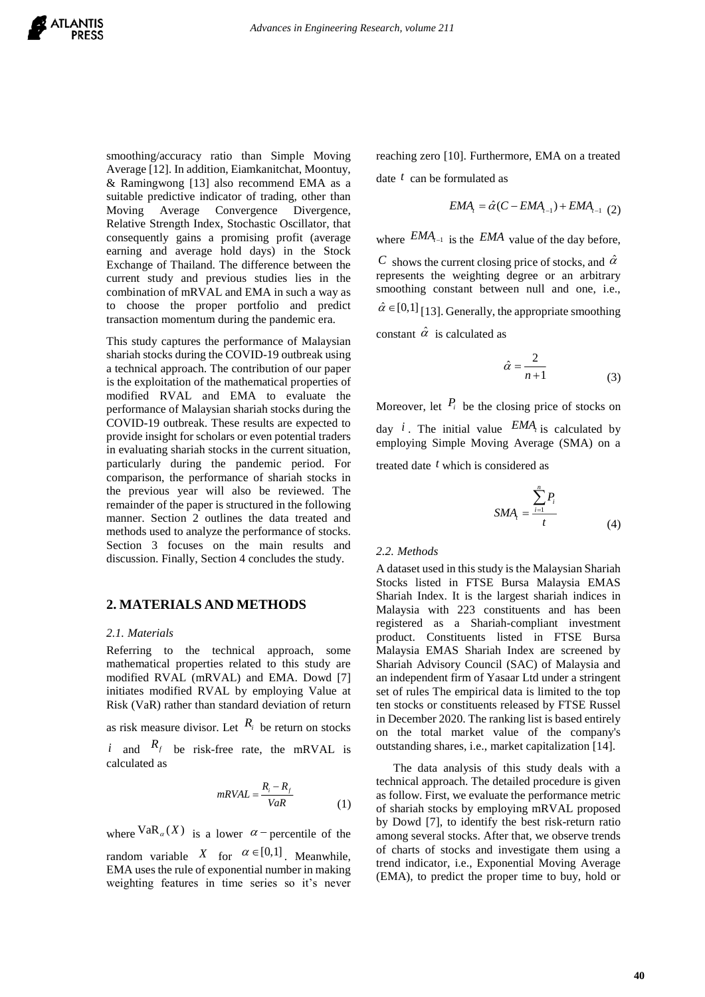smoothing/accuracy ratio than Simple Moving Average [12]. In addition, Eiamkanitchat, Moontuy, & Ramingwong [13] also recommend EMA as a suitable predictive indicator of trading, other than Moving Average Convergence Divergence, Relative Strength Index, Stochastic Oscillator, that consequently gains a promising profit (average earning and average hold days) in the Stock Exchange of Thailand. The difference between the current study and previous studies lies in the combination of mRVAL and EMA in such a way as to choose the proper portfolio and predict transaction momentum during the pandemic era.

This study captures the performance of Malaysian shariah stocks during the COVID-19 outbreak using a technical approach. The contribution of our paper is the exploitation of the mathematical properties of modified RVAL and EMA to evaluate the performance of Malaysian shariah stocks during the COVID-19 outbreak. These results are expected to provide insight for scholars or even potential traders in evaluating shariah stocks in the current situation, particularly during the pandemic period. For comparison, the performance of shariah stocks in the previous year will also be reviewed. The remainder of the paper is structured in the following manner. Section 2 outlines the data treated and methods used to analyze the performance of stocks. Section 3 focuses on the main results and discussion. Finally, Section 4 concludes the study.

## **2. MATERIALS AND METHODS**

#### *2.1. Materials*

Referring to the technical approach, some mathematical properties related to this study are modified RVAL (mRVAL) and EMA. Dowd [7] initiates modified RVAL by employing Value at Risk (VaR) rather than standard deviation of return

as risk measure divisor. Let  $R_i$  be return on stocks *i* and  $R_f$  be risk-free rate, the mRVAL is calculated as

$$
mRVAL = \frac{R_i - R_f}{VaR}
$$
 (1)

where  $\text{VaR}_{\alpha}(X)$  is a lower  $\alpha$  - percentile of the among seve

random variable X for  $\alpha \in [0,1]$ . Meanwhile, of charts EMA uses the rule of exponential number in making weighting features in time series so it's never

reaching zero [10]. Furthermore, EMA on a treated date *t* can be formulated as thermore, EMA on a treated<br>
d as<br>  $\hat{\alpha}(C - EMA_{t-1}) + EMA_{t-1}$  (2)<br>
MA value of the day before,<br>
osing price of stocks, and  $\hat{\alpha}$ 

$$
EMA_{t} = \hat{\alpha}(C - EMA_{t-1}) + EMA_{t-1}
$$
 (2)

where  $EMA_{t-1}$  is the  $EMA$  value of the day before,

*I* 0]. Furthermore, EMA on a treated<br>
ormulated as<br>  $EMA_i = \hat{\alpha}(C - EMA_{i-1}) + EMA_{i-1}$  (2)<br>
is the  $EMA$  value of the day before,<br>
arrent closing price of stocks, and  $\hat{\alpha}$ <br>
weighting degree or an arbitrary<br>
stant between nul C shows the current closing price of stocks, and  $\hat{\alpha}$  $\alpha$  and  $\alpha$  and  $\alpha$  and  $\alpha$  and  $\alpha$  and  $\alpha$  and  $\alpha$  and  $\alpha$  and  $\alpha$  and  $\alpha$  and  $\alpha$  and  $\alpha$  and  $\alpha$  and  $\alpha$  and  $\alpha$  and  $\alpha$  and  $\alpha$  and  $\alpha$  and  $\alpha$  and  $\alpha$  and  $\alpha$  and  $\alpha$  and  $\alpha$  and  $\alpha$  and  $\alpha$  represents the weighting degree or an arbitrary smoothing constant between null and one, i.e.,  $\hat{\alpha} \in [0,1]$  [13]. Generally, the appropriate smoothing constant  $\hat{\alpha}$  is calculated as

$$
\hat{\alpha} = \frac{2}{n+1} \tag{3}
$$

Moreover, let  $P_i$  be the closing price of stocks on day *i*. The initial value  $EMA<sub>t</sub>$  is calculated by employing Simple Moving Average (SMA) on a

treated date *t* which is considered as

$$
SMA_{i} = \frac{\sum_{i=1}^{n} P_{i}}{t}
$$
 (4)

#### *2.2. Methods*

A dataset used in this study is the Malaysian Shariah Stocks listed in FTSE Bursa Malaysia EMAS Shariah Index. It is the largest shariah indices in Malaysia with 223 constituents and has been registered as a Shariah-compliant investment product. Constituents listed in FTSE Bursa Malaysia EMAS Shariah Index are screened by Shariah Advisory Council (SAC) of Malaysia and an independent firm of Yasaar Ltd under a stringent set of rules The empirical data is limited to the top ten stocks or constituents released by FTSE Russel in December 2020. The ranking list is based entirely on the total market value of the company's outstanding shares, i.e., market capitalization [14].

 $mRVAL = \frac{R_i - R_f}{V_i R}$  as follow. First, we evaluate the performance metric *VaR* of shariah stocks by employing mRVAL proposed The data analysis of this study deals with a technical approach. The detailed procedure is given by Dowd [7], to identify the best risk-return ratio among several stocks. After that, we observe trends of charts of stocks and investigate them using a trend indicator, i.e., Exponential Moving Average (EMA), to predict the proper time to buy, hold or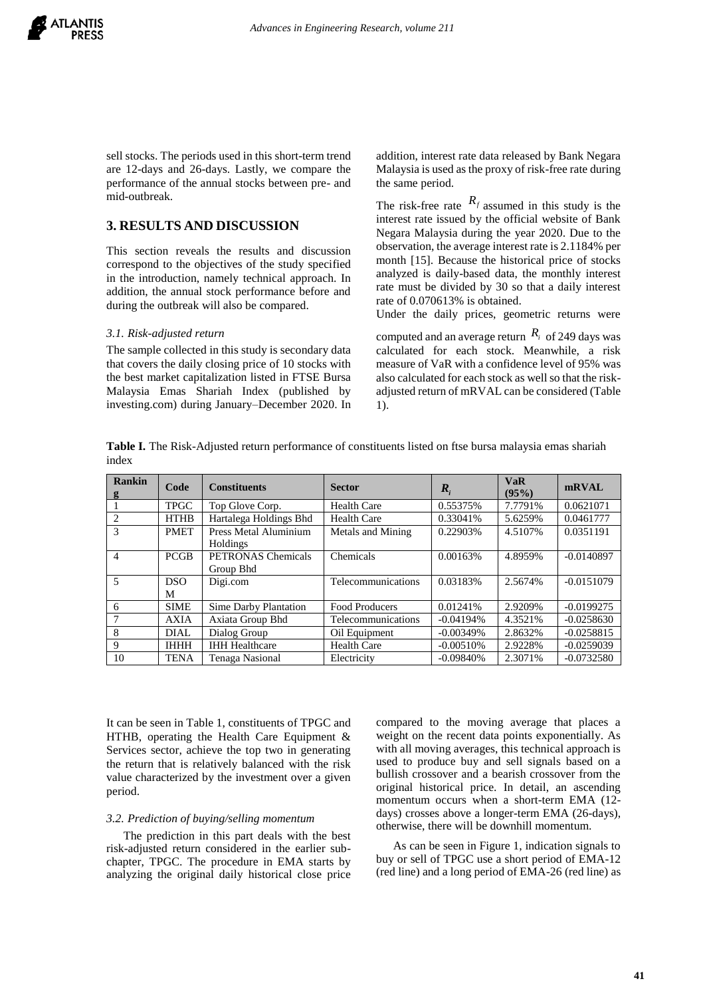sell stocks. The periods used in this short-term trend are 12-days and 26-days. Lastly, we compare the performance of the annual stocks between pre- and mid-outbreak.

# **3. RESULTS AND DISCUSSION**

This section reveals the results and discussion correspond to the objectives of the study specified in the introduction, namely technical approach. In addition, the annual stock performance before and during the outbreak will also be compared.

### *3.1. Risk-adjusted return*

The sample collected in this study is secondary data that covers the daily closing price of 10 stocks with the best market capitalization listed in FTSE Bursa Malaysia Emas Shariah Index (published by investing.com) during January–December 2020. In addition, interest rate data released by Bank Negara Malaysia is used as the proxy of risk-free rate during the same period.

The risk-free rate  $R_f$  assumed in this study is the interest rate issued by the official website of Bank Negara Malaysia during the year 2020. Due to the observation, the average interest rate is 2.1184% per month [15]. Because the historical price of stocks analyzed is daily-based data, the monthly interest rate must be divided by 30 so that a daily interest rate of 0.070613% is obtained.

Under the daily prices, geometric returns were

computed and an average return  $R_i$  of 249 days was calculated for each stock. Meanwhile, a risk measure of VaR with a confidence level of 95% was also calculated for each stock as well so that the riskadjusted return of mRVAL can be considered (Table 1).

**Table I.** The Risk-Adjusted return performance of constituents listed on ftse bursa malaysia emas shariah index

| Rankin<br>g    | Code        | <b>Constituents</b>    | <b>Sector</b>            | $R_i$       | <b>VaR</b><br>(95%) | mRVAL        |
|----------------|-------------|------------------------|--------------------------|-------------|---------------------|--------------|
|                | <b>TPGC</b> | Top Glove Corp.        | <b>Health Care</b>       | 0.55375%    | 7.7791%             | 0.0621071    |
| $\overline{c}$ | <b>HTHB</b> | Hartalega Holdings Bhd | <b>Health Care</b>       | 0.33041%    | 5.6259%             | 0.0461777    |
| 3              | <b>PMET</b> | Press Metal Aluminium  | <b>Metals and Mining</b> | 0.22903%    | 4.5107%             | 0.0351191    |
|                |             | Holdings               |                          |             |                     |              |
| $\overline{4}$ | <b>PCGB</b> | PETRONAS Chemicals     | Chemicals                | 0.00163%    | 4.8959%             | $-0.0140897$ |
|                |             | Group Bhd              |                          |             |                     |              |
| 5              | DSO.        | Digi.com               | Telecommunications       | 0.03183%    | 2.5674%             | $-0.0151079$ |
|                | М           |                        |                          |             |                     |              |
| 6              | <b>SIME</b> | Sime Darby Plantation  | <b>Food Producers</b>    | 0.01241%    | 2.9209%             | $-0.0199275$ |
|                | <b>AXIA</b> | Axiata Group Bhd       | Telecommunications       | $-0.04194%$ | 4.3521%             | $-0.0258630$ |
| 8              | DIAL.       | Dialog Group           | Oil Equipment            | $-0.00349%$ | 2.8632%             | $-0.0258815$ |
| 9              | <b>IHHH</b> | <b>IHH Healthcare</b>  | <b>Health Care</b>       | $-0.00510%$ | 2.9228%             | $-0.0259039$ |
| 10             | <b>TENA</b> | Tenaga Nasional        | Electricity              | $-0.09840%$ | 2.3071%             | $-0.0732580$ |

It can be seen in Table 1, constituents of TPGC and HTHB, operating the Health Care Equipment & Services sector, achieve the top two in generating the return that is relatively balanced with the risk value characterized by the investment over a given period.

#### *3.2. Prediction of buying/selling momentum*

The prediction in this part deals with the best risk-adjusted return considered in the earlier subchapter, TPGC. The procedure in EMA starts by analyzing the original daily historical close price compared to the moving average that places a weight on the recent data points exponentially. As with all moving averages, this technical approach is used to produce buy and sell signals based on a bullish crossover and a bearish crossover from the original historical price. In detail, an ascending momentum occurs when a short-term EMA (12 days) crosses above a longer-term EMA (26-days), otherwise, there will be downhill momentum.

As can be seen in Figure 1, indication signals to buy or sell of TPGC use a short period of EMA-12 (red line) and a long period of EMA-26 (red line) as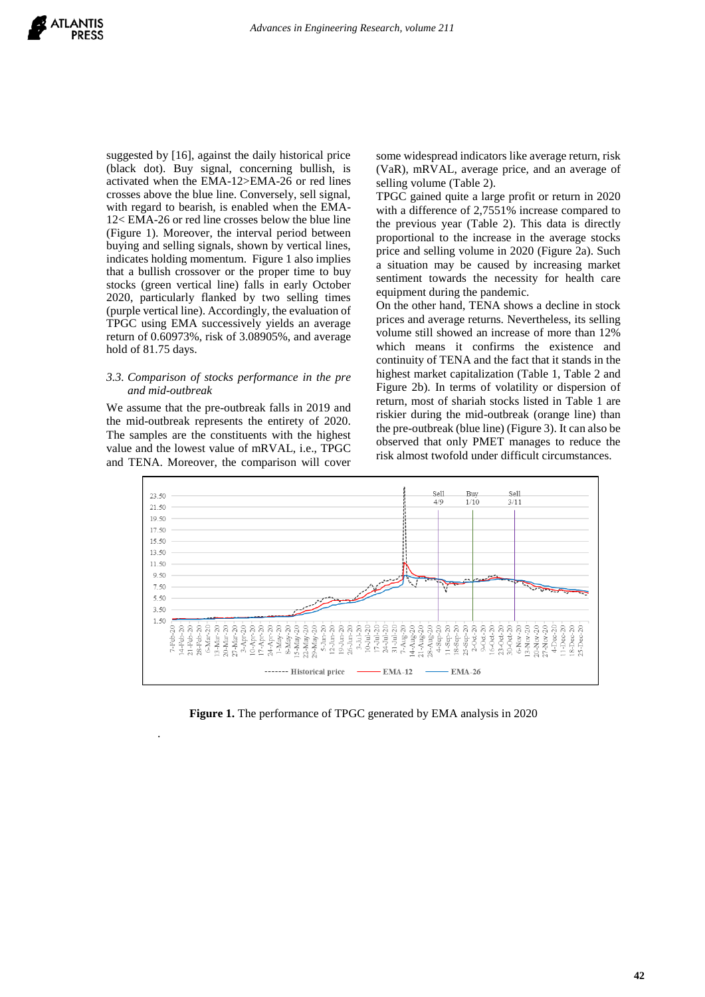suggested by [16], against the daily historical price (black dot). Buy signal, concerning bullish, is activated when the EMA-12>EMA-26 or red lines crosses above the blue line. Conversely, sell signal, with regard to bearish, is enabled when the EMA-12< EMA-26 or red line crosses below the blue line (Figure 1). Moreover, the interval period between buying and selling signals, shown by vertical lines, indicates holding momentum. Figure 1 also implies that a bullish crossover or the proper time to buy stocks (green vertical line) falls in early October 2020, particularly flanked by two selling times (purple vertical line). Accordingly, the evaluation of TPGC using EMA successively yields an average return of 0.60973%, risk of 3.08905%, and average hold of 81.75 days.

#### *3.3. Comparison of stocks performance in the pre and mid-outbreak*

We assume that the pre-outbreak falls in 2019 and the mid-outbreak represents the entirety of 2020. The samples are the constituents with the highest value and the lowest value of mRVAL, i.e., TPGC and TENA. Moreover, the comparison will cover

.

some widespread indicators like average return, risk (VaR), mRVAL, average price, and an average of selling volume (Table 2).

TPGC gained quite a large profit or return in 2020 with a difference of 2,7551% increase compared to the previous year (Table 2). This data is directly proportional to the increase in the average stocks price and selling volume in 2020 (Figure 2a). Such a situation may be caused by increasing market sentiment towards the necessity for health care equipment during the pandemic.

On the other hand, TENA shows a decline in stock prices and average returns. Nevertheless, its selling volume still showed an increase of more than 12% which means it confirms the existence and continuity of TENA and the fact that it stands in the highest market capitalization (Table 1, Table 2 and Figure 2b). In terms of volatility or dispersion of return, most of shariah stocks listed in Table 1 are riskier during the mid-outbreak (orange line) than the pre-outbreak (blue line) (Figure 3). It can also be observed that only PMET manages to reduce the risk almost twofold under difficult circumstances.



**Figure 1.** The performance of TPGC generated by EMA analysis in 2020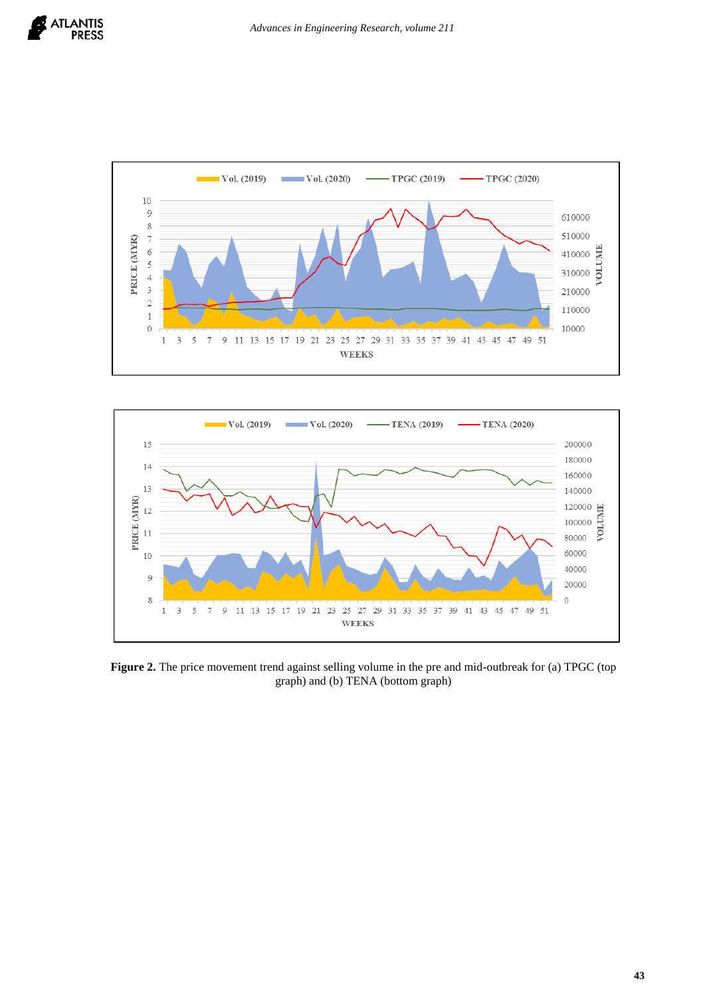





**Figure 2.** The price movement trend against selling volume in the pre and mid-outbreak for (a) TPGC (top graph) and (b) TENA (bottom graph)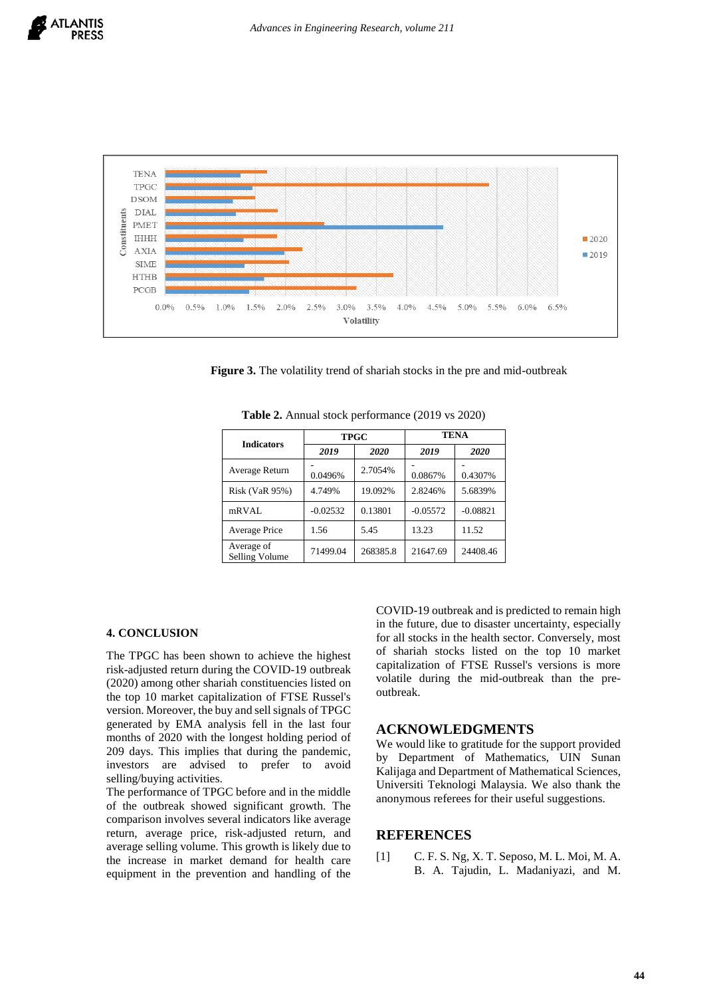

**Figure 3.** The volatility trend of shariah stocks in the pre and mid-outbreak

|                              |            | <b>TPGC</b> | TENA       |            |  |
|------------------------------|------------|-------------|------------|------------|--|
| <b>Indicators</b>            | 2019       | 2020        | 2019       | 2020       |  |
| Average Return               | 0.0496%    | 2.7054%     | 0.0867%    | 0.4307%    |  |
| <b>Risk (VaR 95%)</b>        | 4.749%     | 19.092%     | 2.8246%    | 5.6839%    |  |
| mRVAL                        | $-0.02532$ | 0.13801     | $-0.05572$ | $-0.08821$ |  |
| <b>Average Price</b>         | 1.56       | 5.45        | 13.23      | 11.52      |  |
| Average of<br>Selling Volume | 71499.04   | 268385.8    | 21647.69   | 24408.46   |  |

**Table 2.** Annual stock performance (2019 vs 2020)

## **4. CONCLUSION**

The TPGC has been shown to achieve the highest risk-adjusted return during the COVID-19 outbreak (2020) among other shariah constituencies listed on the top 10 market capitalization of FTSE Russel's version. Moreover, the buy and sell signals of TPGC generated by EMA analysis fell in the last four months of 2020 with the longest holding period of 209 days. This implies that during the pandemic, investors are advised to prefer to avoid selling/buying activities.

The performance of TPGC before and in the middle of the outbreak showed significant growth. The comparison involves several indicators like average return, average price, risk-adjusted return, and average selling volume. This growth is likely due to the increase in market demand for health care equipment in the prevention and handling of the COVID-19 outbreak and is predicted to remain high in the future, due to disaster uncertainty, especially for all stocks in the health sector. Conversely, most of shariah stocks listed on the top 10 market capitalization of FTSE Russel's versions is more volatile during the mid-outbreak than the preoutbreak.

# **ACKNOWLEDGMENTS**

We would like to gratitude for the support provided by Department of Mathematics, UIN Sunan Kalijaga and Department of Mathematical Sciences, Universiti Teknologi Malaysia. We also thank the anonymous referees for their useful suggestions.

## **REFERENCES**

[1] C. F. S. Ng, X. T. Seposo, M. L. Moi, M. A. B. A. Tajudin, L. Madaniyazi, and M.